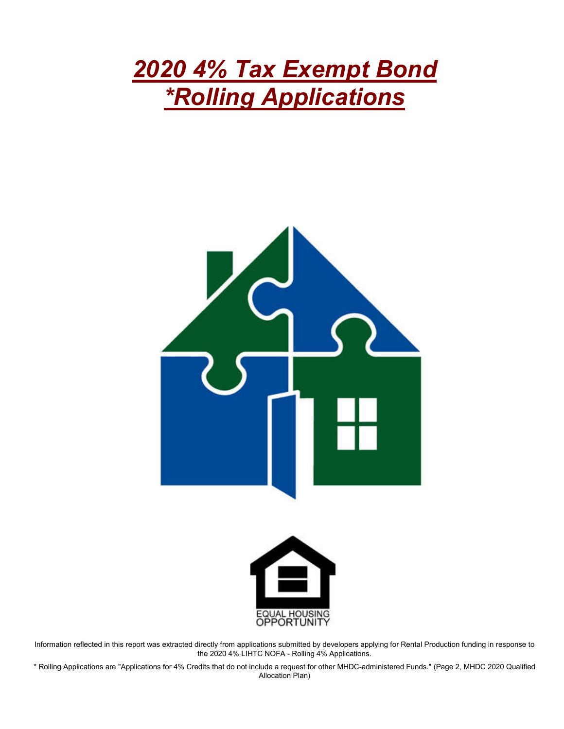# *2020 4% Tax Exempt Bond \*Rolling Applications*





Information reflected in this report was extracted directly from applications submitted by developers applying for Rental Production funding in response to the 2020 4% LIHTC NOFA - Rolling 4% Applications.

\* Rolling Applications are "Applications for 4% Credits that do not include a request for other MHDC-administered Funds." (Page 2, MHDC 2020 Qualified Allocation Plan)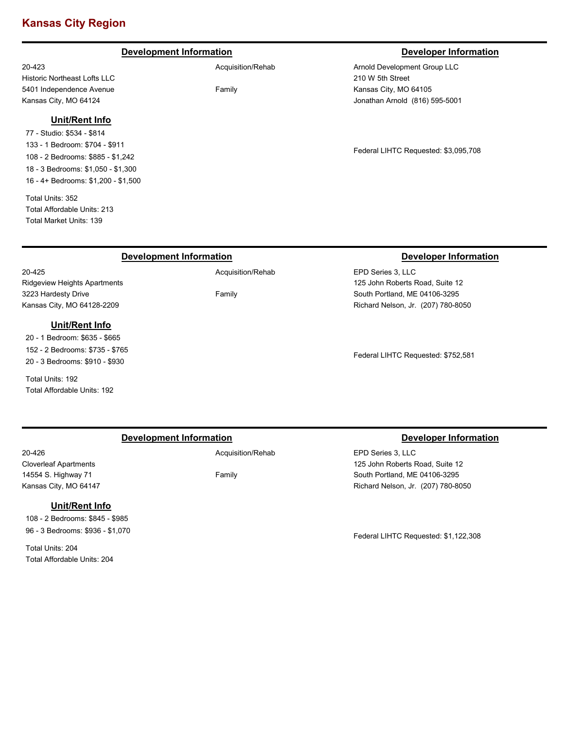# **Kansas City Region**

# **Development Information Developer Information**

20-423 Historic Northeast Lofts LLC 5401 Independence Avenue Kansas City, MO 64124

# **Unit/Rent Info**

77 - Studio: \$534 - \$814 133 - 1 Bedroom: \$704 - \$911 108 - 2 Bedrooms: \$885 - \$1,242 18 - 3 Bedrooms: \$1,050 - \$1,300 16 - 4+ Bedrooms: \$1,200 - \$1,500

Total Units: 352 Total Affordable Units: 213 Total Market Units: 139

Ridgeview Heights Apartments

**Unit/Rent Info** 20 - 1 Bedroom: \$635 - \$665 152 - 2 Bedrooms: \$735 - \$765 20 - 3 Bedrooms: \$910 - \$930

3223 Hardesty Drive Kansas City, MO 64128-2209

Total Units: 192

Total Affordable Units: 192

20-425

# Acquisition/Rehab

Family

Arnold Development Group LLC 210 W 5th Street Kansas City, MO 64105 Jonathan Arnold (816) 595-5001

Federal LIHTC Requested: \$3,095,708

## **Development Information Developer Information**

Family

EPD Series 3, LLC 125 John Roberts Road, Suite 12 South Portland, ME 04106-3295 Richard Nelson, Jr. (207) 780-8050

Federal LIHTC Requested: \$752,581

# **Development Information Developer Information**

20-426 Cloverleaf Apartments 14554 S. Highway 71 Kansas City, MO 64147

# **Unit/Rent Info**

108 - 2 Bedrooms: \$845 - \$985 96 - 3 Bedrooms: \$936 - \$1,070

Total Units: 204 Total Affordable Units: 204 Acquisition/Rehab

Family

EPD Series 3, LLC 125 John Roberts Road, Suite 12 South Portland, ME 04106-3295 Richard Nelson, Jr. (207) 780-8050

Federal LIHTC Requested: \$1,122,308

# Acquisition/Rehab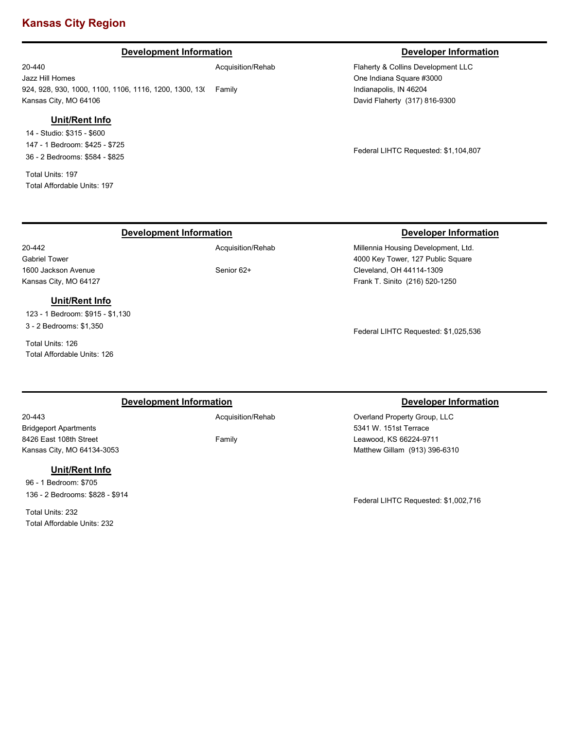# **Kansas City Region**

# **Development Information Developer Information**

20-440 Jazz Hill Homes 924, 928, 930, 1000, 1100, 1106, 1116, 1200, 1300, 13( Family Kansas City, MO 64106 Acquisition/Rehab

# **Unit/Rent Info**

14 - Studio: \$315 - \$600 147 - 1 Bedroom: \$425 - \$725 36 - 2 Bedrooms: \$584 - \$825

Total Units: 197 Total Affordable Units: 197

Flaherty & Collins Development LLC One Indiana Square #3000 Indianapolis, IN 46204 David Flaherty (317) 816-9300

Federal LIHTC Requested: \$1,104,807

# **Development Information Developer Information**

Acquisition/Rehab

# **Unit/Rent Info**

123 - 1 Bedroom: \$915 - \$1,130 3 - 2 Bedrooms: \$1,350

Total Units: 126 Total Affordable Units: 126

# Senior 62+

### Millennia Housing Development, Ltd.

4000 Key Tower, 127 Public Square Cleveland, OH 44114-1309 Frank T. Sinito (216) 520-1250

Federal LIHTC Requested: \$1,025,536

# **Development Information Developer Information**

20-443

20-442 Gabriel Tower 1600 Jackson Avenue Kansas City, MO 64127

Bridgeport Apartments 8426 East 108th Street Kansas City, MO 64134-3053

# **Unit/Rent Info**

96 - 1 Bedroom: \$705 136 - 2 Bedrooms: \$828 - \$914

Total Units: 232 Total Affordable Units: 232

### Acquisition/Rehab

Family

Overland Property Group, LLC 5341 W. 151st Terrace Leawood, KS 66224-9711 Matthew Gillam (913) 396-6310

Federal LIHTC Requested: \$1,002,716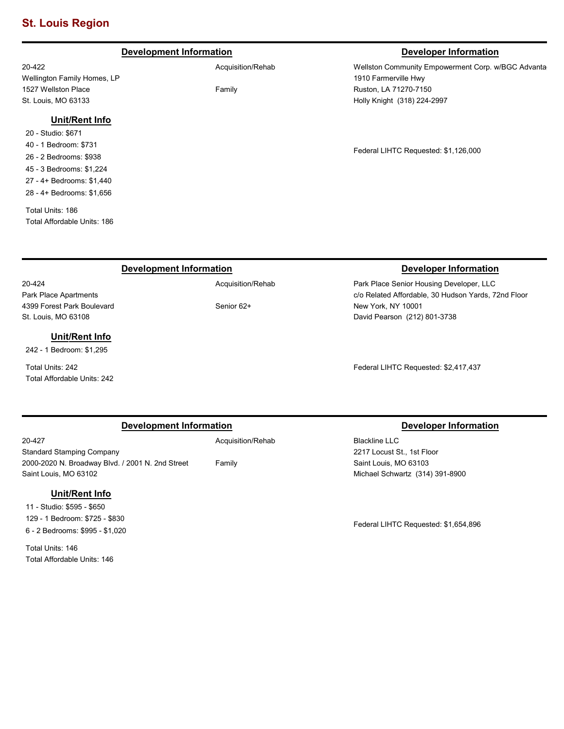# **St. Louis Region**

# **Development Information Developer Information**

20-422 Wellington Family Homes, LP 1527 Wellston Place St. Louis, MO 63133

## **Unit/Rent Info**

20 - Studio: \$671 40 - 1 Bedroom: \$731 26 - 2 Bedrooms: \$938 45 - 3 Bedrooms: \$1,224 27 - 4+ Bedrooms: \$1,440 28 - 4+ Bedrooms: \$1,656

Total Units: 186 Total Affordable Units: 186

Wellston Community Empowerment Corp. w/BGC Advanta 1910 Farmerville Hwy Ruston, LA 71270-7150 Holly Knight (318) 224-2997

Federal LIHTC Requested: \$1,126,000

# **Development Information Developer Information**

20-424 Park Place Apartments 4399 Forest Park Boulevard St. Louis, MO 63108

# **Unit/Rent Info**

242 - 1 Bedroom: \$1,295

Total Units: 242 Total Affordable Units: 242

Acquisition/Rehab

Family

Senior 62+

Park Place Senior Housing Developer, LLC c/o Related Affordable, 30 Hudson Yards, 72nd Floor New York, NY 10001 David Pearson (212) 801-3738

Federal LIHTC Requested: \$2,417,437

# **Development Information Developer Information**

20-427 Standard Stamping Company 2000-2020 N. Broadway Blvd. / 2001 N. 2nd Street Saint Louis, MO 63102

# **Unit/Rent Info**

11 - Studio: \$595 - \$650 129 - 1 Bedroom: \$725 - \$830 6 - 2 Bedrooms: \$995 - \$1,020

Total Units: 146 Total Affordable Units: 146 Acquisition/Rehab

Family

Blackline LLC 2217 Locust St., 1st Floor Saint Louis, MO 63103 Michael Schwartz (314) 391-8900

Federal LIHTC Requested: \$1,654,896

Acquisition/Rehab